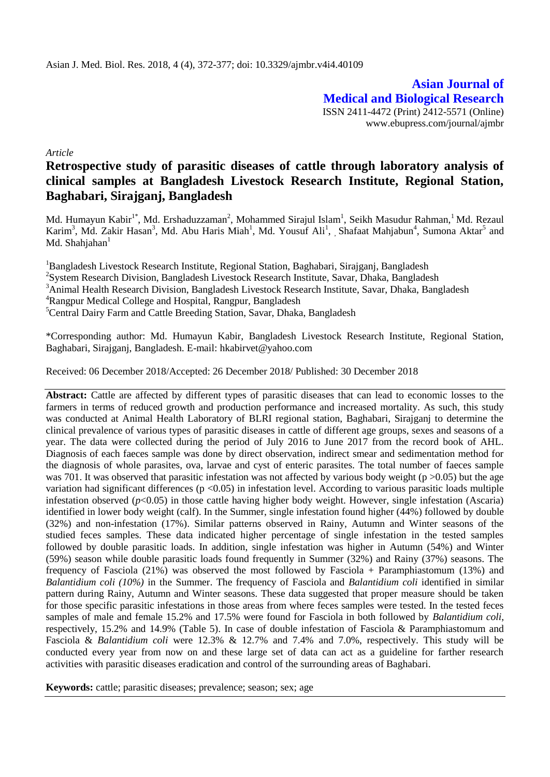**Asian Journal of Medical and Biological Research** ISSN 2411-4472 (Print) 2412-5571 (Online) www.ebupress.com/journal/ajmbr

*Article*

# **Retrospective study of parasitic diseases of cattle through laboratory analysis of clinical samples at Bangladesh Livestock Research Institute, Regional Station, Baghabari, Sirajganj, Bangladesh**

Md. Humayun Kabir<sup>1\*</sup>, Md. Ershaduzzaman<sup>2</sup>, Mohammed Sirajul Islam<sup>1</sup>, Seikh Masudur Rahman,<sup>1</sup> Md. Rezaul Karim<sup>3</sup>, Md. Zakir Hasan<sup>3</sup>, Md. Abu Haris Miah<sup>1</sup>, Md. Yousuf Ali<sup>1</sup>, Shafaat Mahjabun<sup>4</sup>, Sumona Aktar<sup>5</sup> and Md. Shahjahan $<sup>1</sup>$ </sup>

<sup>1</sup>Bangladesh Livestock Research Institute, Regional Station, Baghabari, Sirajganj, Bangladesh

<sup>2</sup>System Research Division, Bangladesh Livestock Research Institute, Savar, Dhaka, Bangladesh

<sup>3</sup>Animal Health Research Division, Bangladesh Livestock Research Institute, Savar, Dhaka, Bangladesh

<sup>4</sup>Rangpur Medical College and Hospital, Rangpur, Bangladesh

<sup>5</sup>Central Dairy Farm and Cattle Breeding Station, Savar, Dhaka, Bangladesh

\*Corresponding author: Md. Humayun Kabir, Bangladesh Livestock Research Institute, Regional Station, Baghabari, Sirajganj, Bangladesh. E-mail: hkabirvet@yahoo.com

Received: 06 December 2018/Accepted: 26 December 2018/ Published: 30 December 2018

**Abstract:** Cattle are affected by different types of parasitic diseases that can lead to economic losses to the farmers in terms of reduced growth and production performance and increased mortality. As such, this study was conducted at Animal Health Laboratory of BLRI regional station, Baghabari, Sirajganj to determine the clinical prevalence of various types of parasitic diseases in cattle of different age groups, sexes and seasons of a year. The data were collected during the period of July 2016 to June 2017 from the record book of AHL. Diagnosis of each faeces sample was done by direct observation, indirect smear and sedimentation method for the diagnosis of whole parasites, ova, larvae and cyst of enteric parasites. The total number of faeces sample was 701. It was observed that parasitic infestation was not affected by various body weight ( $p > 0.05$ ) but the age variation had significant differences (p <0.05) in infestation level. According to various parasitic loads multiple infestation observed  $(p<0.05)$  in those cattle having higher body weight. However, single infestation (Ascaria) identified in lower body weight (calf). In the Summer, single infestation found higher (44%) followed by double (32%) and non-infestation (17%). Similar patterns observed in Rainy, Autumn and Winter seasons of the studied feces samples. These data indicated higher percentage of single infestation in the tested samples followed by double parasitic loads. In addition, single infestation was higher in Autumn (54%) and Winter (59%) season while double parasitic loads found frequently in Summer (32%) and Rainy (37%) seasons. The frequency of Fasciola (21%) was observed the most followed by Fasciola + Paramphiastomum (13%) and *Balantidium coli (10%)* in the Summer. The frequency of Fasciola and *Balantidium coli* identified in similar pattern during Rainy, Autumn and Winter seasons. These data suggested that proper measure should be taken for those specific parasitic infestations in those areas from where feces samples were tested. In the tested feces samples of male and female 15.2% and 17.5% were found for Fasciola in both followed by *Balantidium coli*, respectively, 15.2% and 14.9% (Table 5). In case of double infestation of Fasciola & Paramphiastomum and Fasciola & *Balantidium coli* were 12.3% & 12.7% and 7.4% and 7.0%, respectively. This study will be conducted every year from now on and these large set of data can act as a guideline for farther research activities with parasitic diseases eradication and control of the surrounding areas of Baghabari.

**Keywords:** cattle; parasitic diseases; prevalence; season; sex; age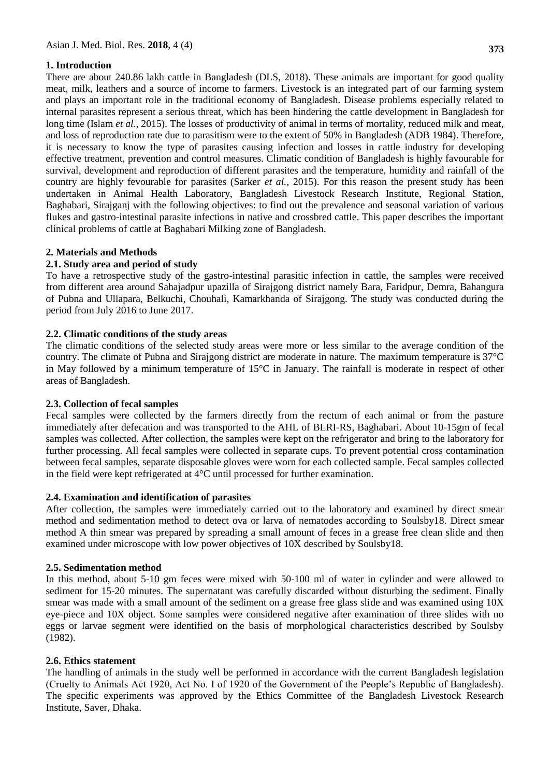# **1. Introduction**

There are about 240.86 lakh cattle in Bangladesh (DLS, 2018). These animals are important for good quality meat, milk, leathers and a source of income to farmers. Livestock is an integrated part of our farming system and plays an important role in the traditional economy of Bangladesh. Disease problems especially related to internal parasites represent a serious threat, which has been hindering the cattle development in Bangladesh for long time (Islam *et al.,* 2015). The losses of productivity of animal in terms of mortality, reduced milk and meat, and loss of reproduction rate due to parasitism were to the extent of 50% in Bangladesh (ADB 1984). Therefore, it is necessary to know the type of parasites causing infection and losses in cattle industry for developing effective treatment, prevention and control measures. Climatic condition of Bangladesh is highly favourable for survival, development and reproduction of different parasites and the temperature, humidity and rainfall of the country are highly fevourable for parasites (Sarker *et al.,* 2015). For this reason the present study has been undertaken in Animal Health Laboratory, Bangladesh Livestock Research Institute, Regional Station, Baghabari, Sirajganj with the following objectives: to find out the prevalence and seasonal variation of various flukes and gastro-intestinal parasite infections in native and crossbred cattle. This paper describes the important clinical problems of cattle at Baghabari Milking zone of Bangladesh.

# **2. Materials and Methods**

# **2.1. Study area and period of study**

To have a retrospective study of the gastro-intestinal parasitic infection in cattle, the samples were received from different area around Sahajadpur upazilla of Sirajgong district namely Bara, Faridpur, Demra, Bahangura of Pubna and Ullapara, Belkuchi, Chouhali, Kamarkhanda of Sirajgong. The study was conducted during the period from July 2016 to June 2017.

# **2.2. Climatic conditions of the study areas**

The climatic conditions of the selected study areas were more or less similar to the average condition of the country. The climate of Pubna and Sirajgong district are moderate in nature. The maximum temperature is 37°C in May followed by a minimum temperature of  $15^{\circ}$ C in January. The rainfall is moderate in respect of other areas of Bangladesh.

## **2.3. Collection of fecal samples**

Fecal samples were collected by the farmers directly from the rectum of each animal or from the pasture immediately after defecation and was transported to the AHL of BLRI-RS, Baghabari. About 10-15gm of fecal samples was collected. After collection, the samples were kept on the refrigerator and bring to the laboratory for further processing. All fecal samples were collected in separate cups. To prevent potential cross contamination between fecal samples, separate disposable gloves were worn for each collected sample. Fecal samples collected in the field were kept refrigerated at 4°C until processed for further examination.

## **2.4. Examination and identification of parasites**

After collection, the samples were immediately carried out to the laboratory and examined by direct smear method and sedimentation method to detect ova or larva of nematodes according to Soulsby18. Direct smear method A thin smear was prepared by spreading a small amount of feces in a grease free clean slide and then examined under microscope with low power objectives of 10X described by Soulsby18.

## **2.5. Sedimentation method**

In this method, about 5-10 gm feces were mixed with 50-100 ml of water in cylinder and were allowed to sediment for 15-20 minutes. The supernatant was carefully discarded without disturbing the sediment. Finally smear was made with a small amount of the sediment on a grease free glass slide and was examined using 10X eye-piece and 10X object. Some samples were considered negative after examination of three slides with no eggs or larvae segment were identified on the basis of morphological characteristics described by Soulsby (1982).

## **2.6. Ethics statement**

The handling of animals in the study well be performed in accordance with the current Bangladesh legislation (Cruelty to Animals Act 1920, Act No. I of 1920 of the Government of the People's Republic of Bangladesh). The specific experiments was approved by the Ethics Committee of the Bangladesh Livestock Research Institute, Saver, Dhaka.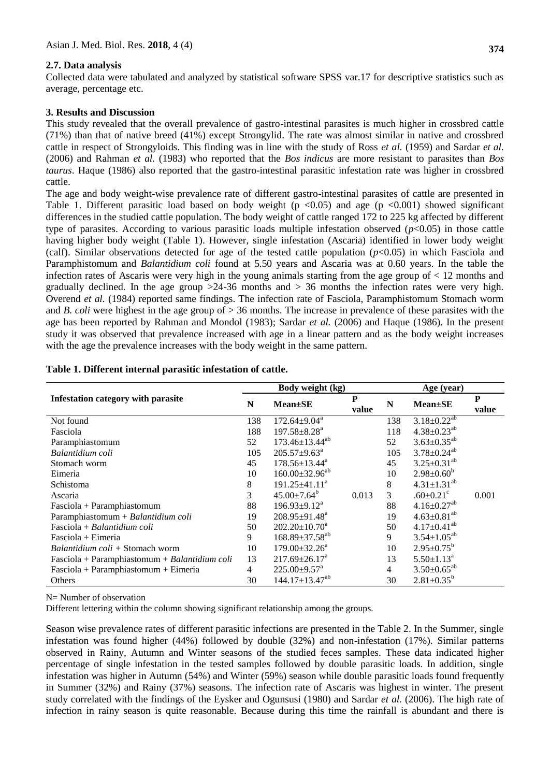#### **2.7. Data analysis**

Collected data were tabulated and analyzed by statistical software SPSS var.17 for descriptive statistics such as average, percentage etc.

#### **3. Results and Discussion**

This study revealed that the overall prevalence of gastro-intestinal parasites is much higher in crossbred cattle (71%) than that of native breed (41%) except Strongylid. The rate was almost similar in native and crossbred cattle in respect of Strongyloids. This finding was in line with the study of Ross *et al.* (1959) and Sardar *et al.* (2006) and Rahman *et al.* (1983) who reported that the *Bos indicus* are more resistant to parasites than *Bos taurus*. Haque (1986) also reported that the gastro-intestinal parasitic infestation rate was higher in crossbred cattle.

The age and body weight-wise prevalence rate of different gastro-intestinal parasites of cattle are presented in Table 1. Different parasitic load based on body weight ( $p < 0.05$ ) and age ( $p < 0.001$ ) showed significant differences in the studied cattle population. The body weight of cattle ranged 172 to 225 kg affected by different type of parasites. According to various parasitic loads multiple infestation observed  $(p<0.05)$  in those cattle having higher body weight (Table 1). However, single infestation (Ascaria) identified in lower body weight (calf). Similar observations detected for age of the tested cattle population (*p*<0.05) in which Fasciola and Paramphistomum and *Balantidium coli* found at 5.50 years and Ascaria was at 0.60 years. In the table the infection rates of Ascaris were very high in the young animals starting from the age group of < 12 months and gradually declined. In the age group  $>24-36$  months and  $>36$  months the infection rates were very high. Overend *et al.* (1984) reported same findings. The infection rate of Fasciola, Paramphistomum Stomach worm and *B. coli* were highest in the age group of > 36 months. The increase in prevalence of these parasites with the age has been reported by Rahman and Mondol (1983); Sardar *et al.* (2006) and Haque (1986). In the present study it was observed that prevalence increased with age in a linear pattern and as the body weight increases with the age the prevalence increases with the body weight in the same pattern.

|                                               |                | Body weight (kg)                 | Age (year) |                |                               |            |  |
|-----------------------------------------------|----------------|----------------------------------|------------|----------------|-------------------------------|------------|--|
| <b>Infestation category with parasite</b>     |                | $Mean \pm SE$                    | P<br>value | N              | $Mean \pm SE$                 | P<br>value |  |
| Not found                                     | 138            | $172.64 \pm 9.04^a$              |            | 138            | $3.18 \pm 0.22^{ab}$          |            |  |
| Fasciola                                      | 188            | $197.58 \pm 8.28^a$              |            | 118            | $4.38 \pm 0.23^{ab}$          |            |  |
| Paramphiastomum                               | 52             | $173.46 \pm 13.44^{ab}$          |            | 52             | $3.63 \pm 0.35^{ab}$          |            |  |
| Balantidium coli                              | 105            | $205.57 \pm 9.63^{\text{a}}$     |            | 105            | $3.78 \pm 0.24^{ab}$          |            |  |
| Stomach worm                                  | 45             | $178.56 \pm 13.44^a$             |            | 45             | $3.25 \pm 0.31^{ab}$          |            |  |
| Eimeria                                       | 10             | $160.00\pm32.96^{ab}$            |            | 10             | $2.98 \pm 0.60^b$             |            |  |
| Schistoma                                     | 8              | $191.25 \pm 41.11^a$             |            | 8              | $4.31 \pm 1.31^{ab}$          |            |  |
| Ascaria                                       | 3              | $45.00 \pm 7.64^b$               | 0.013      | $\mathfrak{Z}$ | $.60 \pm 0.21$ <sup>c</sup>   | 0.001      |  |
| Fasciola + Paramphiastomum                    | 88             | $196.93 \pm 9.12^a$              |            | 88             | $4.16 \pm 0.27$ <sup>ab</sup> |            |  |
| Paramphiastomum + Balantidium coli            | 19             | $208.95 \pm 91.48^a$             |            | 19             | $4.63 \pm 0.81^{ab}$          |            |  |
| Fasciola + Balantidium coli                   | 50             | $202.20 \pm 10.70^a$             |            | 50             | $4.17 \pm 0.41^{ab}$          |            |  |
| $Fasciola + Eimeria$                          | 9              | $168.89 \pm 37.58^{ab}$          |            | 9              | $3.54 \pm 1.05^{ab}$          |            |  |
| Balantidium coli + Stomach worm               | 10             | $179.00 \pm 32.26^a$             |            | 10             | $2.95 \pm 0.75^b$             |            |  |
| Fasciola + Paramphiastomum + Balantidium coli | 13             | $217.69 \pm 26.17^a$             |            | 13             | $5.50 \pm 1.13$ <sup>a</sup>  |            |  |
| $Fasciola + Paramphiastomum + Eimeria$        | $\overline{4}$ | $225.00 \pm 9.57$ <sup>a</sup>   |            | 4              | $3.50 \pm 0.65^{ab}$          |            |  |
| Others                                        | 30             | $144.17 \pm 13.47$ <sup>ab</sup> |            | 30             | $2.81 \pm 0.35^b$             |            |  |

#### **Table 1. Different internal parasitic infestation of cattle.**

N= Number of observation

Different lettering within the column showing significant relationship among the groups.

Season wise prevalence rates of different parasitic infections are presented in the Table 2. In the Summer, single infestation was found higher (44%) followed by double (32%) and non-infestation (17%). Similar patterns observed in Rainy, Autumn and Winter seasons of the studied feces samples. These data indicated higher percentage of single infestation in the tested samples followed by double parasitic loads. In addition, single infestation was higher in Autumn (54%) and Winter (59%) season while double parasitic loads found frequently in Summer (32%) and Rainy (37%) seasons. The infection rate of Ascaris was highest in winter. The present study correlated with the findings of the Eysker and Ogunsusi (1980) and Sardar *et al.* (2006). The high rate of infection in rainy season is quite reasonable. Because during this time the rainfall is abundant and there is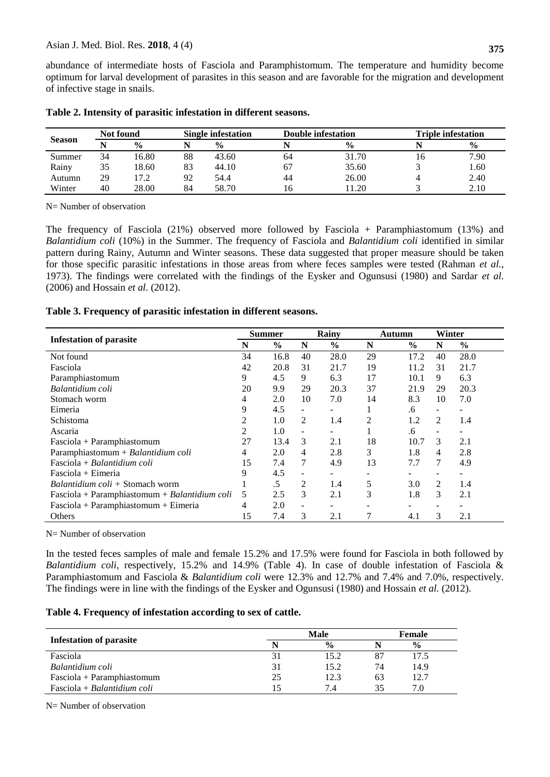abundance of intermediate hosts of Fasciola and Paramphistomum. The temperature and humidity become optimum for larval development of parasites in this season and are favorable for the migration and development of infective stage in snails.

| Not found<br><b>Season</b> |    | <b>Single infestation</b> |    |               | <b>Double infestation</b> | <b>Triple infestation</b> |    |               |
|----------------------------|----|---------------------------|----|---------------|---------------------------|---------------------------|----|---------------|
|                            |    | $\frac{0}{0}$             |    | $\frac{0}{0}$ |                           | $\frac{0}{0}$             |    | $\frac{0}{0}$ |
| Summer                     | 34 | 16.80                     | 88 | 43.60         | 64                        | 31.70                     | 10 | 7.90          |
| Rainy                      | 35 | 18.60                     | 83 | 44.10         |                           | 35.60                     |    | 1.60          |
| Autumn                     | 29 | 17.2                      | 92 | 54.4          | 44                        | 26.00                     |    | 2.40          |
| Winter                     | 40 | 28.00                     | 84 | 58.70         | 16                        | 11.20                     |    | 2.10          |

|  | Table 2. Intensity of parasitic infestation in different seasons. |  |
|--|-------------------------------------------------------------------|--|
|--|-------------------------------------------------------------------|--|

N= Number of observation

The frequency of Fasciola (21%) observed more followed by Fasciola + Paramphiastomum (13%) and *Balantidium coli* (10%) in the Summer. The frequency of Fasciola and *Balantidium coli* identified in similar pattern during Rainy, Autumn and Winter seasons. These data suggested that proper measure should be taken for those specific parasitic infestations in those areas from where feces samples were tested (Rahman *et al.,* 1973). The findings were correlated with the findings of the Eysker and Ogunsusi (1980) and Sardar *et al.* (2006) and Hossain *et al*. (2012).

#### **Table 3. Frequency of parasitic infestation in different seasons.**

| <b>Infestation of parasite</b><br>N           |    | <b>Summer</b> |                          | Rainy         | Autumn |               | Winter |               |
|-----------------------------------------------|----|---------------|--------------------------|---------------|--------|---------------|--------|---------------|
|                                               |    | $\frac{6}{9}$ | N                        | $\frac{0}{0}$ | N      | $\frac{6}{9}$ | N      | $\frac{6}{9}$ |
| Not found                                     | 34 | 16.8          | 40                       | 28.0          | 29     | 17.2          | 40     | 28.0          |
| Fasciola                                      | 42 | 20.8          | 31                       | 21.7          | 19     | 11.2          | 31     | 21.7          |
| Paramphiastomum                               | 9  | 4.5           | 9                        | 6.3           | 17     | 10.1          | 9      | 6.3           |
| Balantidium coli                              | 20 | 9.9           | 29                       | 20.3          | 37     | 21.9          | 29     | 20.3          |
| Stomach worm                                  | 4  | 2.0           | 10                       | 7.0           | 14     | 8.3           | 10     | 7.0           |
| Eimeria                                       | 9  | 4.5           |                          |               |        | .6            |        |               |
| Schistoma                                     | 2  | 1.0           | 2                        | 1.4           | 2      | 1.2           | 2      | 1.4           |
| Ascaria                                       | 2  | 1.0           |                          |               |        | .6            |        |               |
| Fasciola + Paramphiastomum                    | 27 | 13.4          | 3                        | 2.1           | 18     | 10.7          | 3      | 2.1           |
| Paramphiastomum + Balantidium coli            | 4  | 2.0           | 4                        | 2.8           | 3      | 1.8           | 4      | 2.8           |
| Fasciola + Balantidium coli                   | 15 | 7.4           | 7                        | 4.9           | 13     | 7.7           | 7      | 4.9           |
| Fasciola + Eimeria                            | 9  | 4.5           |                          | ۰             |        |               |        |               |
| <i>Balantidium coli</i> + Stomach worm        |    | $.5\,$        | 2                        | 1.4           | 5      | 3.0           | 2      | 1.4           |
| Fasciola + Paramphiastomum + Balantidium coli | 5  | 2.5           | 3                        | 2.1           | 3      | 1.8           | 3      | 2.1           |
| $Fasciola + Paramphiastomum + Eimeria$        | 4  | 2.0           | $\overline{\phantom{a}}$ |               |        |               |        |               |
| Others                                        | 15 | 7.4           | 3                        | 2.1           |        | 4.1           | 3      | 2.1           |

N= Number of observation

In the tested feces samples of male and female 15.2% and 17.5% were found for Fasciola in both followed by *Balantidium coli*, respectively, 15.2% and 14.9% (Table 4). In case of double infestation of Fasciola & Paramphiastomum and Fasciola & *Balantidium coli* were 12.3% and 12.7% and 7.4% and 7.0%, respectively. The findings were in line with the findings of the Eysker and Ogunsusi (1980) and Hossain *et al.* (2012).

#### **Table 4. Frequency of infestation according to sex of cattle.**

| <b>Infestation of parasite</b> |    | <b>Female</b> |    |               |  |
|--------------------------------|----|---------------|----|---------------|--|
|                                |    | $\frac{0}{0}$ |    | $\frac{6}{9}$ |  |
| Fasciola                       | 31 | 15.2          | 87 | 17.5          |  |
| Balantidium coli               | 31 | 15.2          | 74 | 14.9          |  |
| Fasciola + Paramphiastomum     | 25 | 12.3          | 63 | 12.7          |  |
| $Fasciola + Balantidium coli$  | 15 | 7.4           | 35 | 7.0           |  |

N= Number of observation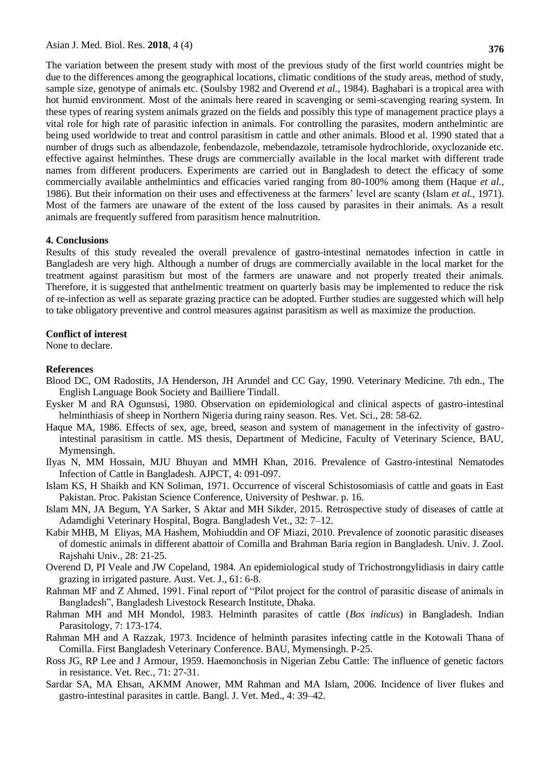The variation between the present study with most of the previous study of the first world countries might be due to the differences among the geographical locations, climatic conditions of the study areas, method of study, sample size, genotype of animals etc. (Soulsby 1982 and Overend *et al.,* 1984). Baghabari is a tropical area with hot humid environment. Most of the animals here reared in scavenging or semi-scavenging rearing system. In these types of rearing system animals grazed on the fields and possibly this type of management practice plays a vital role for high rate of parasitic infection in animals. For controlling the parasites, modern anthelmintic are being used worldwide to treat and control parasitism in cattle and other animals. Blood et al. 1990 stated that a number of drugs such as albendazole, fenbendazole, mebendazole, tetramisole hydrochloride, oxyclozanide etc. effective against helminthes. These drugs are commercially available in the local market with different trade names from different producers. Experiments are carried out in Bangladesh to detect the efficacy of some commercially available anthelmintics and efficacies varied ranging from 80-100% among them (Haque *et al.,* 1986). But their information on their uses and effectiveness at the farmers' level are scanty (Islam *et al.,* 1971). Most of the farmers are unaware of the extent of the loss caused by parasites in their animals. As a result animals are frequently suffered from parasitism hence malnutrition.

#### **4. Conclusions**

Results of this study revealed the overall prevalence of gastro-intestinal nematodes infection in cattle in Bangladesh are very high. Although a number of drugs are commercially available in the local market for the treatment against parasitism but most of the farmers are unaware and not properly treated their animals. Therefore, it is suggested that anthelmentic treatment on quarterly basis may be implemented to reduce the risk of re-infection as well as separate grazing practice can be adopted. Further studies are suggested which will help to take obligatory preventive and control measures against parasitism as well as maximize the production.

#### **Conflict of interest**

None to declare.

#### **References**

- Blood DC, OM Radostits, JA Henderson, JH Arundel and CC Gay, 1990. Veterinary Medicine. 7th edn., The English Language Book Society and Bailliere Tindall.
- Eysker M and RA Ogunsusi, 1980. Observation on epidemiological and clinical aspects of gastro-intestinal helminthiasis of sheep in Northern Nigeria during rainy season. Res. Vet. Sci., 28: 58-62.
- Haque MA, 1986. Effects of sex, age, breed, season and system of management in the infectivity of gastrointestinal parasitism in cattle. MS thesis, Department of Medicine, Faculty of Veterinary Science, BAU, Mymensingh.
- Ilyas N, MM Hossain, MJU Bhuyan and MMH Khan, 2016. Prevalence of Gastro-intestinal Nematodes Infection of Cattle in Bangladesh. AJPCT, 4: 091-097.
- Islam KS, H Shaikh and KN Soliman, 1971. Occurrence of visceral Schistosomiasis of cattle and goats in East Pakistan. Proc. Pakistan Science Conference, University of Peshwar. p. 16.
- Islam MN, JA Begum, YA Sarker, S Aktar and MH Sikder, 2015. Retrospective study of diseases of cattle at Adamdighi Veterinary Hospital, Bogra. Bangladesh Vet., 32: 7–12.
- Kabir MHB, M Eliyas, MA Hashem, Mohiuddin and OF Miazi, 2010. Prevalence of zoonotic parasitic diseases of domestic animals in different abattoir of Comilla and Brahman Baria region in Bangladesh. Univ. J. Zool. Rajshahi Univ., 28: 21-25.
- Overend D, PI Veale and JW Copeland, 1984. An epidemiological study of Trichostrongylidiasis in dairy cattle grazing in irrigated pasture. Aust. Vet. J., 61: 6-8.
- Rahman MF and Z Ahmed, 1991. Final report of "Pilot project for the control of parasitic disease of animals in Bangladesh", Bangladesh Livestock Research Institute, Dhaka.
- Rahman MH and MH Mondol, 1983. Helminth parasites of cattle (*Bos indicus*) in Bangladesh. Indian Parasitology, 7: 173-174.
- Rahman MH and A Razzak, 1973. Incidence of helminth parasites infecting cattle in the Kotowali Thana of Comilla. First Bangladesh Veterinary Conference. BAU, Mymensingh. P-25.
- Ross JG, RP Lee and J Armour, 1959. Haemonchosis in Nigerian Zebu Cattle: The influence of genetic factors in resistance. Vet. Rec., 71: 27-31.
- Sardar SA, MA Ehsan, AKMM Anower, MM Rahman and MA Islam, 2006. Incidence of liver flukes and gastro-intestinal parasites in cattle. Bangl. J. Vet. Med., 4: 39–42.